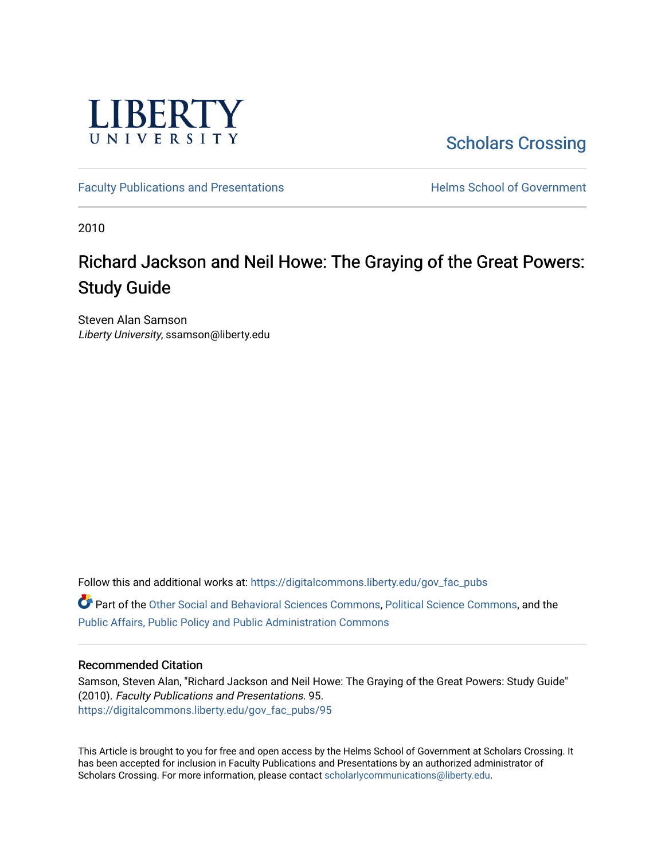

[Scholars Crossing](https://digitalcommons.liberty.edu/) 

[Faculty Publications and Presentations](https://digitalcommons.liberty.edu/gov_fac_pubs) **Exercise School of Government** 

2010

# Richard Jackson and Neil Howe: The Graying of the Great Powers: Study Guide

Steven Alan Samson Liberty University, ssamson@liberty.edu

Follow this and additional works at: [https://digitalcommons.liberty.edu/gov\\_fac\\_pubs](https://digitalcommons.liberty.edu/gov_fac_pubs?utm_source=digitalcommons.liberty.edu%2Fgov_fac_pubs%2F95&utm_medium=PDF&utm_campaign=PDFCoverPages) Part of the [Other Social and Behavioral Sciences Commons](http://network.bepress.com/hgg/discipline/437?utm_source=digitalcommons.liberty.edu%2Fgov_fac_pubs%2F95&utm_medium=PDF&utm_campaign=PDFCoverPages), [Political Science Commons](http://network.bepress.com/hgg/discipline/386?utm_source=digitalcommons.liberty.edu%2Fgov_fac_pubs%2F95&utm_medium=PDF&utm_campaign=PDFCoverPages), and the [Public Affairs, Public Policy and Public Administration Commons](http://network.bepress.com/hgg/discipline/393?utm_source=digitalcommons.liberty.edu%2Fgov_fac_pubs%2F95&utm_medium=PDF&utm_campaign=PDFCoverPages)

# Recommended Citation

Samson, Steven Alan, "Richard Jackson and Neil Howe: The Graying of the Great Powers: Study Guide" (2010). Faculty Publications and Presentations. 95. [https://digitalcommons.liberty.edu/gov\\_fac\\_pubs/95](https://digitalcommons.liberty.edu/gov_fac_pubs/95?utm_source=digitalcommons.liberty.edu%2Fgov_fac_pubs%2F95&utm_medium=PDF&utm_campaign=PDFCoverPages) 

This Article is brought to you for free and open access by the Helms School of Government at Scholars Crossing. It has been accepted for inclusion in Faculty Publications and Presentations by an authorized administrator of Scholars Crossing. For more information, please contact [scholarlycommunications@liberty.edu.](mailto:scholarlycommunications@liberty.edu)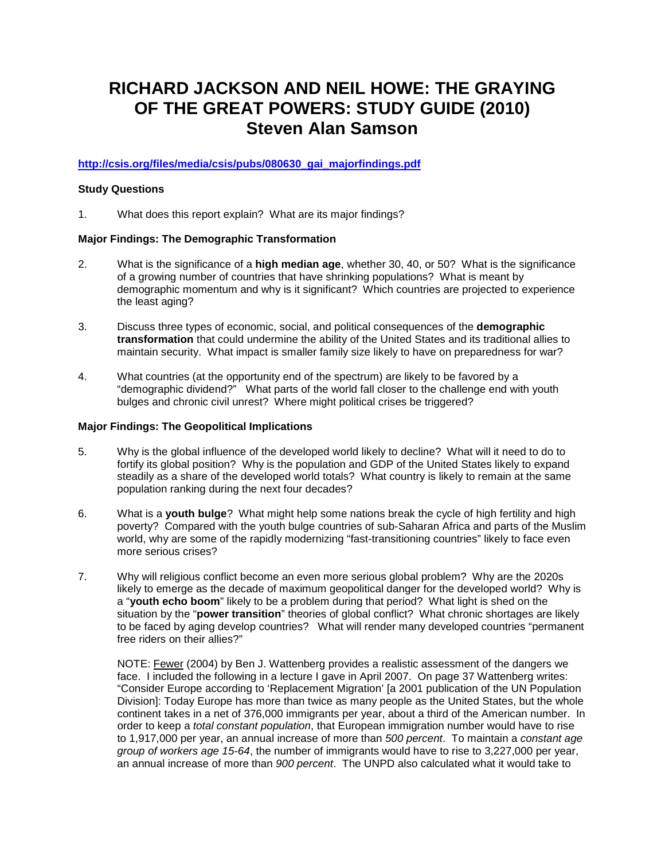# **RICHARD JACKSON AND NEIL HOWE: THE GRAYING OF THE GREAT POWERS: STUDY GUIDE (2010) Steven Alan Samson**

# **[http://csis.org/files/media/csis/pubs/080630\\_gai\\_majorfindings.pdf](http://csis.org/files/media/csis/pubs/080630_gai_majorfindings.pdf)**

## **Study Questions**

1. What does this report explain? What are its major findings?

## **Major Findings: The Demographic Transformation**

- 2. What is the significance of a **high median age**, whether 30, 40, or 50? What is the significance of a growing number of countries that have shrinking populations? What is meant by demographic momentum and why is it significant? Which countries are projected to experience the least aging?
- 3. Discuss three types of economic, social, and political consequences of the **demographic transformation** that could undermine the ability of the United States and its traditional allies to maintain security. What impact is smaller family size likely to have on preparedness for war?
- 4. What countries (at the opportunity end of the spectrum) are likely to be favored by a "demographic dividend?" What parts of the world fall closer to the challenge end with youth bulges and chronic civil unrest? Where might political crises be triggered?

## **Major Findings: The Geopolitical Implications**

- 5. Why is the global influence of the developed world likely to decline? What will it need to do to fortify its global position? Why is the population and GDP of the United States likely to expand steadily as a share of the developed world totals? What country is likely to remain at the same population ranking during the next four decades?
- 6. What is a **youth bulge**? What might help some nations break the cycle of high fertility and high poverty? Compared with the youth bulge countries of sub-Saharan Africa and parts of the Muslim world, why are some of the rapidly modernizing "fast-transitioning countries" likely to face even more serious crises?
- 7. Why will religious conflict become an even more serious global problem? Why are the 2020s likely to emerge as the decade of maximum geopolitical danger for the developed world? Why is a "**youth echo boom**" likely to be a problem during that period? What light is shed on the situation by the "**power transition**" theories of global conflict? What chronic shortages are likely to be faced by aging develop countries? What will render many developed countries "permanent free riders on their allies?"

NOTE: Fewer (2004) by Ben J. Wattenberg provides a realistic assessment of the dangers we face. I included the following in a lecture I gave in April 2007. On page 37 Wattenberg writes: "Consider Europe according to 'Replacement Migration' [a 2001 publication of the UN Population Division]: Today Europe has more than twice as many people as the United States, but the whole continent takes in a net of 376,000 immigrants per year, about a third of the American number. In order to keep a *total constant population*, that European immigration number would have to rise to 1,917,000 per year, an annual increase of more than *500 percent*. To maintain a *constant age group of workers age 15-64*, the number of immigrants would have to rise to 3,227,000 per year, an annual increase of more than *900 percent*. The UNPD also calculated what it would take to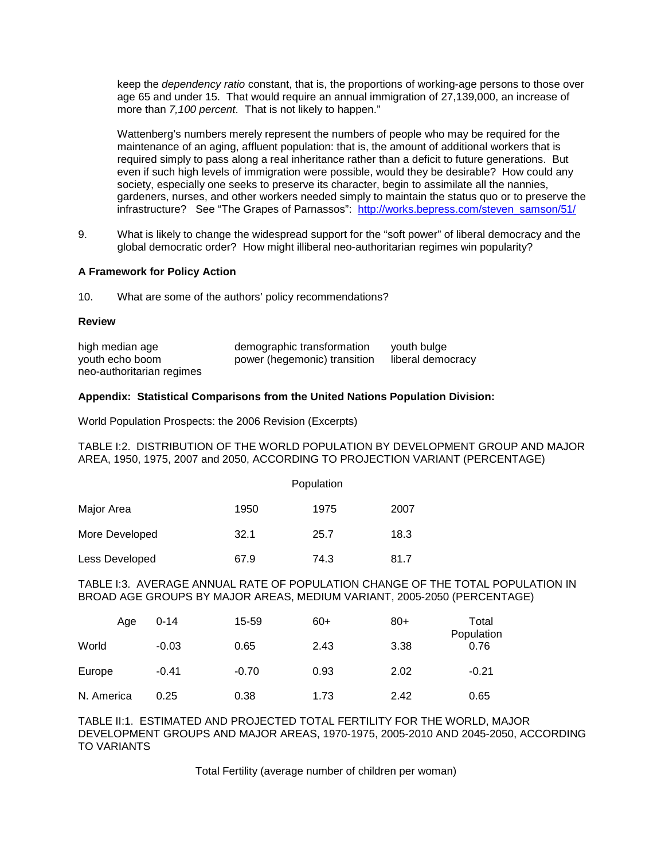keep the *dependency ratio* constant, that is, the proportions of working-age persons to those over age 65 and under 15. That would require an annual immigration of 27,139,000, an increase of more than *7,100 percent*. That is not likely to happen."

Wattenberg's numbers merely represent the numbers of people who may be required for the maintenance of an aging, affluent population: that is, the amount of additional workers that is required simply to pass along a real inheritance rather than a deficit to future generations. But even if such high levels of immigration were possible, would they be desirable? How could any society, especially one seeks to preserve its character, begin to assimilate all the nannies, gardeners, nurses, and other workers needed simply to maintain the status quo or to preserve the infrastructure? See "The Grapes of Parnassos": [http://works.bepress.com/steven\\_samson/51/](http://works.bepress.com/steven_samson/51/)

9. What is likely to change the widespread support for the "soft power" of liberal democracy and the global democratic order? How might illiberal neo-authoritarian regimes win popularity?

#### **A Framework for Policy Action**

10. What are some of the authors' policy recommendations?

#### **Review**

| high median age           | demographic transformation   | vouth bulge       |
|---------------------------|------------------------------|-------------------|
| youth echo boom           | power (hegemonic) transition | liberal democracy |
| neo-authoritarian regimes |                              |                   |

#### **Appendix: Statistical Comparisons from the United Nations Population Division:**

World Population Prospects: the 2006 Revision (Excerpts)

TABLE I:2. DISTRIBUTION OF THE WORLD POPULATION BY DEVELOPMENT GROUP AND MAJOR AREA, 1950, 1975, 2007 and 2050, ACCORDING TO PROJECTION VARIANT (PERCENTAGE)

|                | Population |      |      |  |
|----------------|------------|------|------|--|
| Major Area     | 1950       | 1975 | 2007 |  |
| More Developed | 32.1       | 25.7 | 18.3 |  |
| Less Developed | 67.9       | 74.3 | 81.7 |  |

#### TABLE I:3. AVERAGE ANNUAL RATE OF POPULATION CHANGE OF THE TOTAL POPULATION IN BROAD AGE GROUPS BY MAJOR AREAS, MEDIUM VARIANT, 2005-2050 (PERCENTAGE)

| Age        | $0 - 14$ | 15-59   | $60+$ | $80+$ | Total<br>Population |
|------------|----------|---------|-------|-------|---------------------|
| World      | $-0.03$  | 0.65    | 2.43  | 3.38  | 0.76                |
| Europe     | $-0.41$  | $-0.70$ | 0.93  | 2.02  | $-0.21$             |
| N. America | 0.25     | 0.38    | 1.73  | 2.42  | 0.65                |

TABLE II:1. ESTIMATED AND PROJECTED TOTAL FERTILITY FOR THE WORLD, MAJOR DEVELOPMENT GROUPS AND MAJOR AREAS, 1970-1975, 2005-2010 AND 2045-2050, ACCORDING TO VARIANTS

Total Fertility (average number of children per woman)